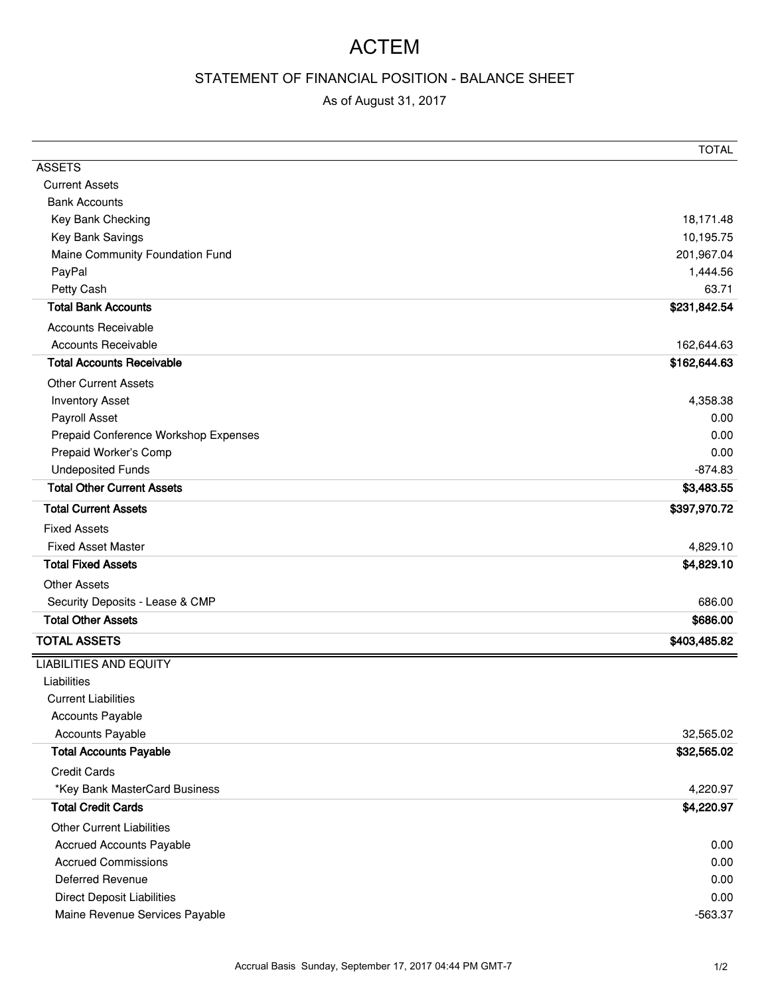## ACTEM

## STATEMENT OF FINANCIAL POSITION - BALANCE SHEET

## As of August 31, 2017

|                                      | <b>TOTAL</b> |
|--------------------------------------|--------------|
| <b>ASSETS</b>                        |              |
| <b>Current Assets</b>                |              |
| <b>Bank Accounts</b>                 |              |
| Key Bank Checking                    | 18,171.48    |
| Key Bank Savings                     | 10,195.75    |
| Maine Community Foundation Fund      | 201,967.04   |
| PayPal                               | 1,444.56     |
| Petty Cash                           | 63.71        |
| <b>Total Bank Accounts</b>           | \$231,842.54 |
| <b>Accounts Receivable</b>           |              |
| <b>Accounts Receivable</b>           | 162,644.63   |
| <b>Total Accounts Receivable</b>     | \$162,644.63 |
| <b>Other Current Assets</b>          |              |
| <b>Inventory Asset</b>               | 4,358.38     |
| Payroll Asset                        | 0.00         |
| Prepaid Conference Workshop Expenses | 0.00         |
| Prepaid Worker's Comp                | 0.00         |
| <b>Undeposited Funds</b>             | $-874.83$    |
| <b>Total Other Current Assets</b>    | \$3,483.55   |
| <b>Total Current Assets</b>          | \$397,970.72 |
| <b>Fixed Assets</b>                  |              |
| <b>Fixed Asset Master</b>            | 4,829.10     |
| <b>Total Fixed Assets</b>            | \$4,829.10   |
| <b>Other Assets</b>                  |              |
| Security Deposits - Lease & CMP      | 686.00       |
| <b>Total Other Assets</b>            | \$686.00     |
| <b>TOTAL ASSETS</b>                  | \$403,485.82 |
| <b>LIABILITIES AND EQUITY</b>        |              |
| Liabilities                          |              |
| <b>Current Liabilities</b>           |              |
| Accounts Payable                     |              |
| <b>Accounts Payable</b>              | 32,565.02    |
| <b>Total Accounts Payable</b>        | \$32,565.02  |
| <b>Credit Cards</b>                  |              |
| *Key Bank MasterCard Business        | 4,220.97     |
| <b>Total Credit Cards</b>            | \$4,220.97   |
| <b>Other Current Liabilities</b>     |              |
| <b>Accrued Accounts Payable</b>      | 0.00         |
| <b>Accrued Commissions</b>           | 0.00         |
| <b>Deferred Revenue</b>              | 0.00         |
| <b>Direct Deposit Liabilities</b>    | 0.00         |
| Maine Revenue Services Payable       | $-563.37$    |